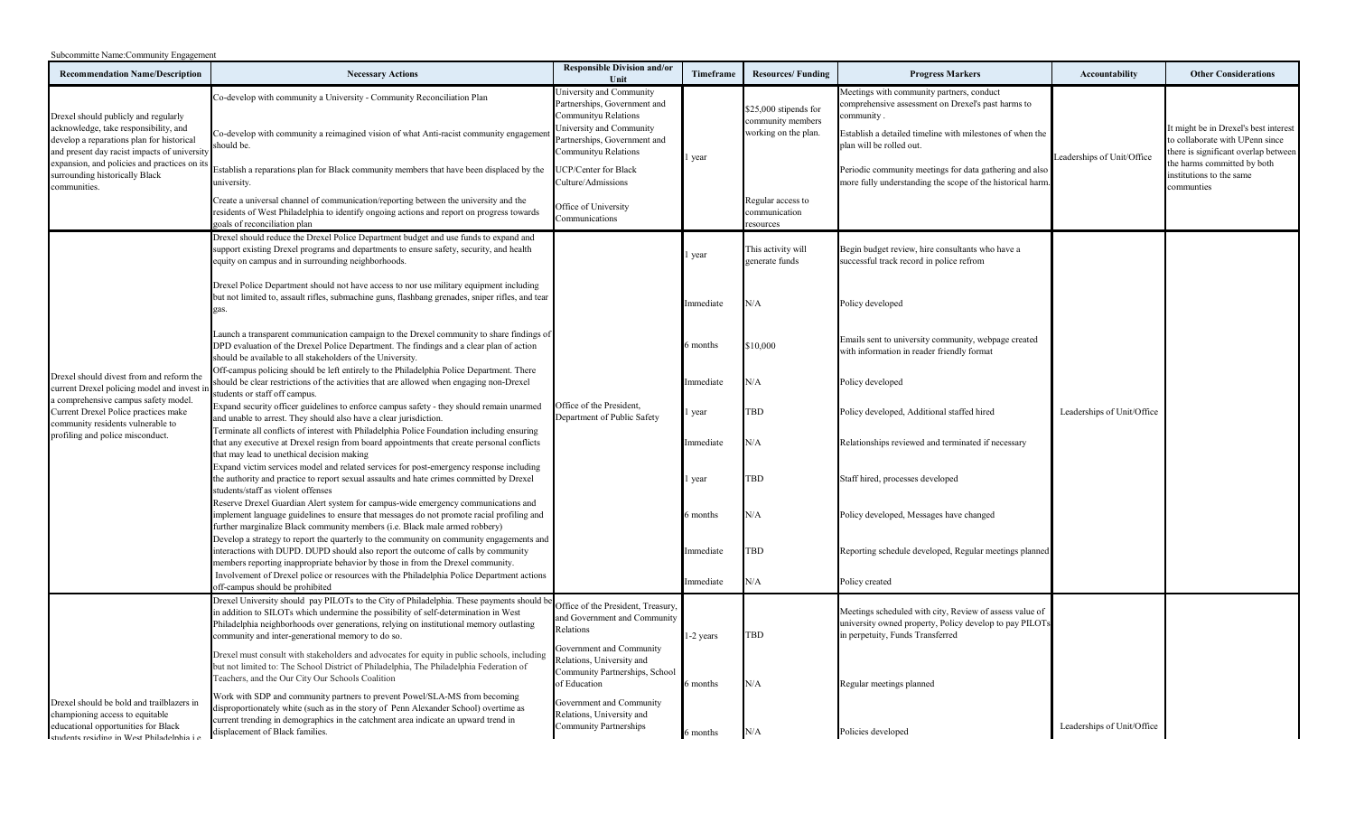| Subcommitte Name:Community Engagement |
|---------------------------------------|
|---------------------------------------|

| <b>Recommendation Name/Description</b>                                                                                                                                                                                                                                       | <b>Necessary Actions</b>                                                                                                                                                                                                                                                                                                                                                                                                                                                     | <b>Responsible Division and/or</b><br>Unit                                                                                                                                                                                                                   | Timeframe       | <b>Resources/Funding</b>                                                                                 | <b>Progress Markers</b>                                                                                                                                                                                                                                                                                                         | <b>Accountability</b>      | <b>Other Considerations</b>                                                                                                                                                               |
|------------------------------------------------------------------------------------------------------------------------------------------------------------------------------------------------------------------------------------------------------------------------------|------------------------------------------------------------------------------------------------------------------------------------------------------------------------------------------------------------------------------------------------------------------------------------------------------------------------------------------------------------------------------------------------------------------------------------------------------------------------------|--------------------------------------------------------------------------------------------------------------------------------------------------------------------------------------------------------------------------------------------------------------|-----------------|----------------------------------------------------------------------------------------------------------|---------------------------------------------------------------------------------------------------------------------------------------------------------------------------------------------------------------------------------------------------------------------------------------------------------------------------------|----------------------------|-------------------------------------------------------------------------------------------------------------------------------------------------------------------------------------------|
| Drexel should publicly and regularly<br>acknowledge, take responsibility, and<br>develop a reparations plan for historical<br>and present day racist impacts of university<br>expansion, and policies and practices on its<br>surrounding historically Black<br>communities. | Co-develop with community a University - Community Reconciliation Plan<br>Co-develop with community a reimagined vision of what Anti-racist community engagemen<br>hould be.<br>Establish a reparations plan for Black community members that have been displaced by the<br>university.<br>Create a universal channel of communication/reporting between the university and the<br>residents of West Philadelphia to identify ongoing actions and report on progress towards | University and Community<br>Partnerships, Government and<br>Communityu Relations<br>University and Community<br>Partnerships, Government and<br>Communityu Relations<br>UCP/Center for Black<br>Culture/Admissions<br>Office of University<br>Communications | 1 year          | \$25,000 stipends for<br>community members<br>working on the plan.<br>Regular access to<br>communication | Meetings with community partners, conduct<br>comprehensive assessment on Drexel's past harms to<br>community.<br>Establish a detailed timeline with milestones of when the<br>plan will be rolled out.<br>Periodic community meetings for data gathering and also<br>more fully understanding the scope of the historical harm. | Leaderships of Unit/Office | It might be in Drexel's best interest<br>to collaborate with UPenn since<br>there is significant overlap between<br>the harms committed by both<br>institutions to the same<br>communties |
| Drexel should divest from and reform th<br>current Drexel policing model and invest<br>a comprehensive campus safety model.<br>Current Drexel Police practices make<br>community residents vulnerable to<br>profiling and police misconduct.                                 | goals of reconciliation plan<br>Drexel should reduce the Drexel Police Department budget and use funds to expand and<br>support existing Drexel programs and departments to ensure safety, security, and health<br>equity on campus and in surrounding neighborhoods.<br>Drexel Police Department should not have access to nor use military equipment including                                                                                                             |                                                                                                                                                                                                                                                              | 1 year          | esources<br>This activity will<br>generate funds                                                         | Begin budget review, hire consultants who have a<br>successful track record in police refrom                                                                                                                                                                                                                                    |                            |                                                                                                                                                                                           |
|                                                                                                                                                                                                                                                                              | but not limited to, assault rifles, submachine guns, flashbang grenades, sniper rifles, and tear<br>gas.                                                                                                                                                                                                                                                                                                                                                                     |                                                                                                                                                                                                                                                              | Immediate       | N/A                                                                                                      | Policy developed                                                                                                                                                                                                                                                                                                                |                            |                                                                                                                                                                                           |
|                                                                                                                                                                                                                                                                              | Launch a transparent communication campaign to the Drexel community to share findings of<br>DPD evaluation of the Drexel Police Department. The findings and a clear plan of action<br>should be available to all stakeholders of the University.                                                                                                                                                                                                                            |                                                                                                                                                                                                                                                              | 6 months        | \$10,000                                                                                                 | Emails sent to university community, webpage created<br>with information in reader friendly format                                                                                                                                                                                                                              |                            |                                                                                                                                                                                           |
|                                                                                                                                                                                                                                                                              | Off-campus policing should be left entirely to the Philadelphia Police Department. There<br>should be clear restrictions of the activities that are allowed when engaging non-Drexel<br>students or staff off campus.                                                                                                                                                                                                                                                        |                                                                                                                                                                                                                                                              | Immediate       | N/A                                                                                                      | Policy developed                                                                                                                                                                                                                                                                                                                |                            |                                                                                                                                                                                           |
|                                                                                                                                                                                                                                                                              | Expand security officer guidelines to enforce campus safety - they should remain unarmed<br>and unable to arrest. They should also have a clear jurisdiction.                                                                                                                                                                                                                                                                                                                | Office of the President.<br>Department of Public Safety                                                                                                                                                                                                      | year            | TBD                                                                                                      | Policy developed, Additional staffed hired                                                                                                                                                                                                                                                                                      | Leaderships of Unit/Office |                                                                                                                                                                                           |
|                                                                                                                                                                                                                                                                              | Terminate all conflicts of interest with Philadelphia Police Foundation including ensuring<br>that any executive at Drexel resign from board appointments that create personal conflicts<br>that may lead to unethical decision making                                                                                                                                                                                                                                       |                                                                                                                                                                                                                                                              | Immediate       | N/A                                                                                                      | Relationships reviewed and terminated if necessary                                                                                                                                                                                                                                                                              |                            |                                                                                                                                                                                           |
|                                                                                                                                                                                                                                                                              | Expand victim services model and related services for post-emergency response including<br>the authority and practice to report sexual assaults and hate crimes committed by Drexel<br>students/staff as violent offenses                                                                                                                                                                                                                                                    |                                                                                                                                                                                                                                                              | l year          | <b>TBD</b>                                                                                               | Staff hired, processes developed                                                                                                                                                                                                                                                                                                |                            |                                                                                                                                                                                           |
|                                                                                                                                                                                                                                                                              | Reserve Drexel Guardian Alert system for campus-wide emergency communications and<br>implement language guidelines to ensure that messages do not promote racial profiling and<br>further marginalize Black community members (i.e. Black male armed robbery)                                                                                                                                                                                                                |                                                                                                                                                                                                                                                              | 6 months        | N/A                                                                                                      | Policy developed, Messages have changed                                                                                                                                                                                                                                                                                         |                            |                                                                                                                                                                                           |
|                                                                                                                                                                                                                                                                              | Develop a strategy to report the quarterly to the community on community engagements and<br>interactions with DUPD. DUPD should also report the outcome of calls by community<br>members reporting inappropriate behavior by those in from the Drexel community.                                                                                                                                                                                                             |                                                                                                                                                                                                                                                              | Immediate       | <b>TBD</b>                                                                                               | Reporting schedule developed, Regular meetings planned                                                                                                                                                                                                                                                                          |                            |                                                                                                                                                                                           |
|                                                                                                                                                                                                                                                                              | Involvement of Drexel police or resources with the Philadelphia Police Department actions<br>off-campus should be prohibited                                                                                                                                                                                                                                                                                                                                                 |                                                                                                                                                                                                                                                              | <i>mmediate</i> | N/A                                                                                                      | Policy created                                                                                                                                                                                                                                                                                                                  |                            |                                                                                                                                                                                           |
|                                                                                                                                                                                                                                                                              | Drexel University should pay PILOTs to the City of Philadelphia. These payments should b<br>in addition to SILOTs which undermine the possibility of self-determination in West<br>Philadelphia neighborhoods over generations, relying on institutional memory outlasting<br>community and inter-generational memory to do so.                                                                                                                                              | Office of the President, Treasury<br>and Government and Community<br>Relations                                                                                                                                                                               | 1-2 years       | TBD                                                                                                      | Meetings scheduled with city, Review of assess value of<br>university owned property, Policy develop to pay PILOT:<br>in perpetuity, Funds Transferred                                                                                                                                                                          |                            |                                                                                                                                                                                           |
|                                                                                                                                                                                                                                                                              | Drexel must consult with stakeholders and advocates for equity in public schools, including<br>but not limited to: The School District of Philadelphia, The Philadelphia Federation of<br>Teachers, and the Our City Our Schools Coalition                                                                                                                                                                                                                                   | Government and Community<br>Relations, University and<br>Community Partnerships, School<br>of Education                                                                                                                                                      | 6 months        | N/A                                                                                                      | Regular meetings planned                                                                                                                                                                                                                                                                                                        |                            |                                                                                                                                                                                           |
| Drexel should be bold and trailblazers in<br>championing access to equitable<br>educational opportunities for Black<br>students residing in West Philadelnhia i e                                                                                                            | Work with SDP and community partners to prevent Powel/SLA-MS from becoming<br>disproportionately white (such as in the story of Penn Alexander School) overtime as<br>current trending in demographics in the catchment area indicate an upward trend in<br>displacement of Black families.                                                                                                                                                                                  | Government and Community<br>Relations, University and<br><b>Community Partnerships</b>                                                                                                                                                                       | 6 months        | N/A                                                                                                      | Policies developed                                                                                                                                                                                                                                                                                                              | Leaderships of Unit/Office |                                                                                                                                                                                           |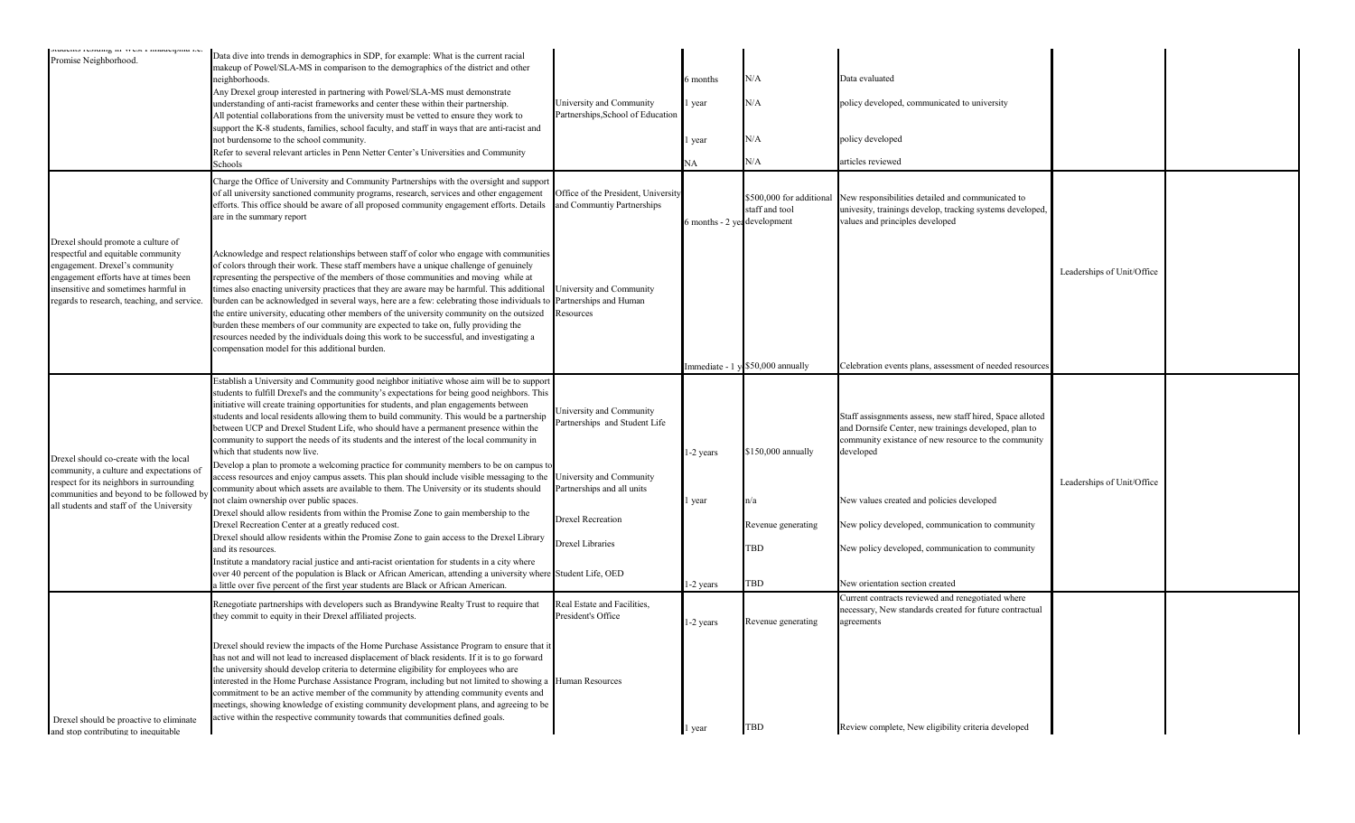| policy developed, communicated to university                                                                   |                                                                                                                                                                                                                                                                                                                                                                                                                                                                                                                                                                         |
|----------------------------------------------------------------------------------------------------------------|-------------------------------------------------------------------------------------------------------------------------------------------------------------------------------------------------------------------------------------------------------------------------------------------------------------------------------------------------------------------------------------------------------------------------------------------------------------------------------------------------------------------------------------------------------------------------|
| New responsibilities detailed and communicated to<br>univesity, trainings develop, tracking systems developed, |                                                                                                                                                                                                                                                                                                                                                                                                                                                                                                                                                                         |
|                                                                                                                |                                                                                                                                                                                                                                                                                                                                                                                                                                                                                                                                                                         |
|                                                                                                                |                                                                                                                                                                                                                                                                                                                                                                                                                                                                                                                                                                         |
|                                                                                                                |                                                                                                                                                                                                                                                                                                                                                                                                                                                                                                                                                                         |
|                                                                                                                |                                                                                                                                                                                                                                                                                                                                                                                                                                                                                                                                                                         |
|                                                                                                                |                                                                                                                                                                                                                                                                                                                                                                                                                                                                                                                                                                         |
|                                                                                                                |                                                                                                                                                                                                                                                                                                                                                                                                                                                                                                                                                                         |
|                                                                                                                |                                                                                                                                                                                                                                                                                                                                                                                                                                                                                                                                                                         |
|                                                                                                                | Leaderships of Unit/Office<br>Celebration events plans, assessment of needed resources<br>Staff assisgnments assess, new staff hired, Space alloted<br>and Dornsife Center, new trainings developed, plan to<br>community existance of new resource to the community<br>Leaderships of Unit/Office<br>New values created and policies developed<br>New policy developed, communication to community<br>New policy developed, communication to community<br>Current contracts reviewed and renegotiated where<br>necessary, New standards created for future contractual |